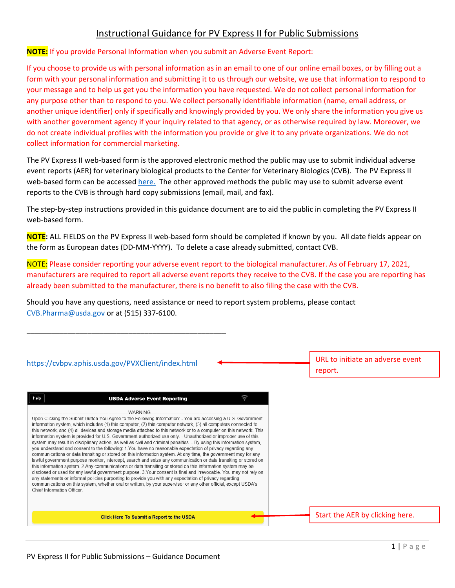# Instructional Guidance for PV Express II for Public Submissions

#### **NOTE:** If you provide Personal Information when you submit an Adverse Event Report:

If you choose to provide us with personal information as in an email to one of our online email boxes, or by filling out a form with your personal information and submitting it to us through our website, we use that information to respond to your message and to help us get you the information you have requested. We do not collect personal information for any purpose other than to respond to you. We collect personally identifiable information (name, email address, or another unique identifier) only if specifically and knowingly provided by you. We only share the information you give us with another government agency if your inquiry related to that agency, or as otherwise required by law. Moreover, we do not create individual profiles with the information you provide or give it to any private organizations. We do not collect information for commercial marketing.

The PV Express II web-based form is the approved electronic method the public may use to submit individual adverse event reports (AER) for veterinary biological products to the Center for Veterinary Biologics (CVB). The PV Express II web-based form can be accessed [here.](https://cvbpv.aphis.usda.gov/PVXClient/index.html) The other approved methods the public may use to submit adverse event reports to the CVB is through hard copy submissions (email, mail, and fax).

The step-by-step instructions provided in this guidance document are to aid the public in completing the PV Express II web-based form.

**NOTE:** ALL FIELDS on the PV Express II web-based form should be completed if known by you. All date fields appear on the form as European dates (DD-MM-YYYY). To delete a case already submitted, contact CVB.

NOTE: Please consider reporting your adverse event report to the biological manufacturer. As of February 17, 2021, manufacturers are required to report all adverse event reports they receive to the CVB. If the case you are reporting has already been submitted to the manufacturer, there is no benefit to also filing the case with the CVB.

Should you have any questions, need assistance or need to report system problems, please contact [CVB.Pharma@usda.gov](mailto:CVB.Pharma@usda.gov) or at (515) 337-6100.

| https://cvbpv.aphis.usda.gov/PVXClient/index.html                                                                                                                                                                                                                                                                                                                                                                                                                                                                                                                                                                                                                                                                                                                                                                                                                                                                                                                                                                                                                                                                                                                                                                                                                                                                                                                                                                                                           | URL to initiate an adverse event<br>report. |
|-------------------------------------------------------------------------------------------------------------------------------------------------------------------------------------------------------------------------------------------------------------------------------------------------------------------------------------------------------------------------------------------------------------------------------------------------------------------------------------------------------------------------------------------------------------------------------------------------------------------------------------------------------------------------------------------------------------------------------------------------------------------------------------------------------------------------------------------------------------------------------------------------------------------------------------------------------------------------------------------------------------------------------------------------------------------------------------------------------------------------------------------------------------------------------------------------------------------------------------------------------------------------------------------------------------------------------------------------------------------------------------------------------------------------------------------------------------|---------------------------------------------|
| <b>USDA Adverse Event Reporting</b><br>Help                                                                                                                                                                                                                                                                                                                                                                                                                                                                                                                                                                                                                                                                                                                                                                                                                                                                                                                                                                                                                                                                                                                                                                                                                                                                                                                                                                                                                 |                                             |
| Upon Clicking the Submit Button You Agree to the Following Information: - You are accessing a U.S. Government<br>information system, which includes (1) this computer, (2) this computer network, (3) all computers connected to<br>this network, and (4) all devices and storage media attached to this network or to a computer on this network. This<br>information system is provided for U.S. Government-authorized use only. - Unauthorized or improper use of this<br>system may result in disciplinary action, as well as civil and criminal penalties. - By using this information system,<br>you understand and consent to the following: 1. You have no reasonable expectation of privacy regarding any<br>communications or data transiting or stored on this information system. At any time, the government may for any<br>lawful government purpose monitor, intercept, search and seize any communication or data transiting or stored on<br>this information system. 2. Any communications or data transiting or stored on this information system may be<br>disclosed or used for any lawful government purpose. 3. Your consent is final and irrevocable. You may not rely on<br>any statements or informal policies purporting to provide you with any expectation of privacy regarding<br>communications on this system, whether oral or written, by your supervisor or any other official, except USDA's<br>Chief Information Officer |                                             |
| <b>Click Here To Submit a Report to the USDA</b>                                                                                                                                                                                                                                                                                                                                                                                                                                                                                                                                                                                                                                                                                                                                                                                                                                                                                                                                                                                                                                                                                                                                                                                                                                                                                                                                                                                                            | Start the AER by clicking here.             |

\_\_\_\_\_\_\_\_\_\_\_\_\_\_\_\_\_\_\_\_\_\_\_\_\_\_\_\_\_\_\_\_\_\_\_\_\_\_\_\_\_\_\_\_\_\_\_\_\_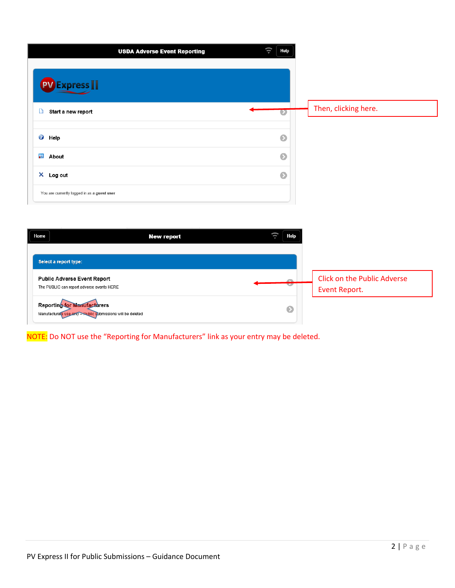|                                             | <b>USDA Adverse Event Reporting</b> | t.<br>Help |                      |
|---------------------------------------------|-------------------------------------|------------|----------------------|
| <b>Express</b>                              |                                     |            |                      |
| D<br>Start a new report                     |                                     | $\bullet$  | Then, clicking here. |
|                                             |                                     |            |                      |
| $\bullet$<br>Help                           |                                     | $\bullet$  |                      |
| <b>About</b>                                |                                     | $\bullet$  |                      |
| X Log out                                   |                                     | $\bullet$  |                      |
| You are currently logged in as a guest user |                                     |            |                      |

| Home                  | <b>New report</b>                                                                                 | Help      |                                                     |
|-----------------------|---------------------------------------------------------------------------------------------------|-----------|-----------------------------------------------------|
| Select a report type: |                                                                                                   |           |                                                     |
|                       | <b>Public Adverse Event Report</b><br>The PUBLIC can report adverse events HERE                   |           | <b>Click on the Public Adverse</b><br>Event Report. |
|                       | <b>Reporting for Manufacturers</b><br>Manufacturers use only - Public submissions will be deleted | $\bullet$ |                                                     |

NOTE: Do NOT use the "Reporting for Manufacturers" link as your entry may be deleted.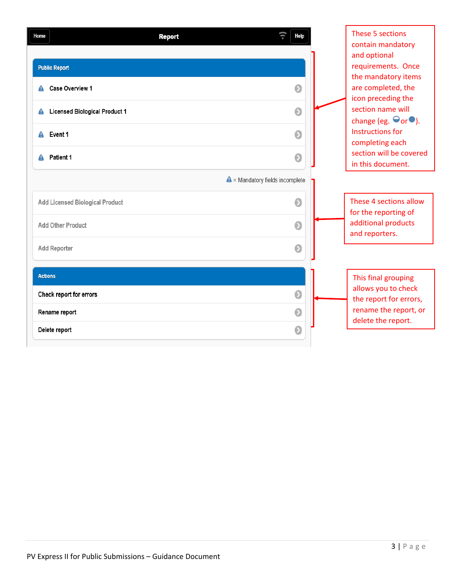| Home           | <b>Report</b>                             | <b>Help</b> | These 5 sections<br>contain mandatory                                              |
|----------------|-------------------------------------------|-------------|------------------------------------------------------------------------------------|
|                | <b>Public Report</b>                      |             | and optional<br>requirements. Once<br>the mandatory items                          |
|                | Case Overview 1                           | $\bullet$   | are completed, the<br>icon preceding the                                           |
| A              | <b>Licensed Biological Product 1</b>      | $\bullet$   | section name will                                                                  |
| А              | Event 1                                   | $\bullet$   | change (eg. $\Theta$ or $\bullet$ ).<br><b>Instructions for</b><br>completing each |
| А              | Patient 1                                 | $\bullet$   | section will be covered<br>in this document.                                       |
|                | $\triangle$ = Mandatory fields incomplete |             |                                                                                    |
|                | <b>Add Licensed Biological Product</b>    | $\bullet$   | These 4 sections allow<br>for the reporting of                                     |
|                | Add Other Product                         | $\bullet$   | additional products<br>and reporters.                                              |
|                | <b>Add Reporter</b>                       | $\bullet$   |                                                                                    |
| <b>Actions</b> |                                           |             | This final grouping                                                                |
|                | Check report for errors                   | $\bullet$   | allows you to check<br>the report for errors,                                      |
|                | Rename report                             | $\bullet$   | rename the report, or<br>delete the report.                                        |
|                | Delete report                             | $\bullet$   |                                                                                    |
|                |                                           |             |                                                                                    |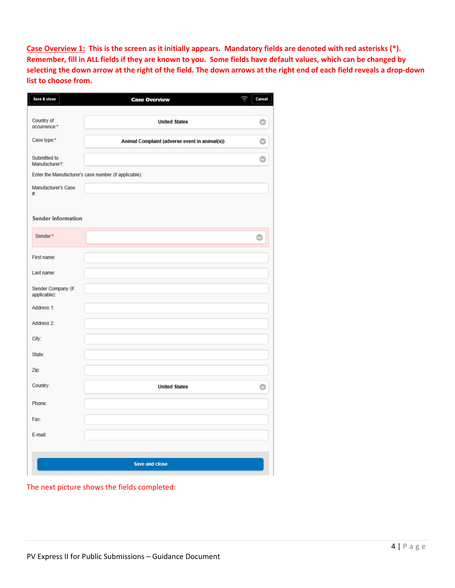**Case Overview 1: This is the screen as it initially appears. Mandatory fields are denoted with red asterisks (\*). Remember, fill in ALL fields if they are known to you. Some fields have default values, which can be changed by selecting the down arrow at the right of the field. The down arrows at the right end of each field reveals a drop-down list to choose from.**

| Save & close                       | <b>Case Overview</b>                                  | Cancel |
|------------------------------------|-------------------------------------------------------|--------|
| Country of<br>occurrence:*         | <b>United States</b>                                  |        |
| Case type:*                        | Animal Complaint (adverse event in animal(s))         |        |
| Submitted to<br>Manufacturer?:     |                                                       |        |
|                                    | Enter the Manufacturer's case number (if applicable): |        |
| Manufacturer's Case<br>井.          |                                                       |        |
| <b>Sender information</b>          |                                                       |        |
| Sender:*                           |                                                       |        |
| First name:                        |                                                       |        |
| Last name:                         |                                                       |        |
| Sender Company (if<br>applicable): |                                                       |        |
| Address 1:                         |                                                       |        |
| Address 2:                         |                                                       |        |
| City:                              |                                                       |        |
| State:                             |                                                       |        |
| Zip:                               |                                                       |        |
| Country:                           | <b>United States</b>                                  | O      |
| Phone:                             |                                                       |        |
| Fax:                               |                                                       |        |
| E-mail:                            |                                                       |        |
|                                    | Save and close                                        |        |

The next picture shows the fields completed: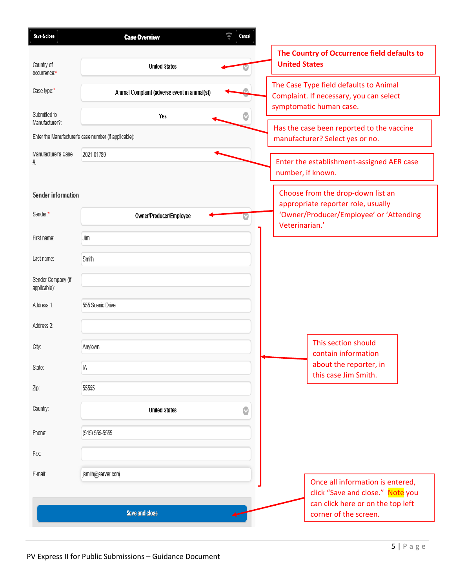| Save & close                       | Cancel<br><b>Case Overview</b>                        |                                                                                                              |
|------------------------------------|-------------------------------------------------------|--------------------------------------------------------------------------------------------------------------|
|                                    |                                                       | The Country of Occurrence field defaults to                                                                  |
| Country of<br>occurrence:*         | <b>United States</b>                                  | <b>United States</b>                                                                                         |
| Case type:*                        | Animal Complaint (adverse event in animal(s))         | The Case Type field defaults to Animal<br>Complaint. If necessary, you can select<br>symptomatic human case. |
| Submitted to<br>Manufacturer?:     | Yes                                                   |                                                                                                              |
|                                    | Enter the Manufacturer's case number (if applicable): | Has the case been reported to the vaccine<br>manufacturer? Select yes or no.                                 |
| Manufacturer's Case                | 2021-01789                                            |                                                                                                              |
| #.                                 |                                                       | Enter the establishment-assigned AER case<br>number, if known.                                               |
|                                    |                                                       |                                                                                                              |
| Sender information                 |                                                       | Choose from the drop-down list an<br>appropriate reporter role, usually                                      |
| Sender:*                           | Owner/Producer/Employee                               | 'Owner/Producer/Employee' or 'Attending                                                                      |
| First name:                        | Jim                                                   | Veterinarian.'                                                                                               |
|                                    |                                                       |                                                                                                              |
| Last name:                         | Smith                                                 |                                                                                                              |
| Sender Company (if<br>applicable): |                                                       |                                                                                                              |
| Address 1:                         | 555 Scenic Drive                                      |                                                                                                              |
| Address 2:                         |                                                       |                                                                                                              |
|                                    |                                                       | This section should                                                                                          |
| City:                              | Anytown                                               | contain information                                                                                          |
| State:                             | IA                                                    | about the reporter, in<br>this case Jim Smith.                                                               |
| Zip:                               | 55555                                                 |                                                                                                              |
| Country:                           | O<br><b>United States</b>                             |                                                                                                              |
| Phone:                             | $(515) 555-5555$                                      |                                                                                                              |
| Fax:                               |                                                       |                                                                                                              |
|                                    |                                                       |                                                                                                              |
| E-mail:                            | jsmith@server.com                                     | Once all information is entered,                                                                             |
|                                    |                                                       | click "Save and close." Note you                                                                             |
|                                    | Save and close                                        | can click here or on the top left<br>corner of the screen.                                                   |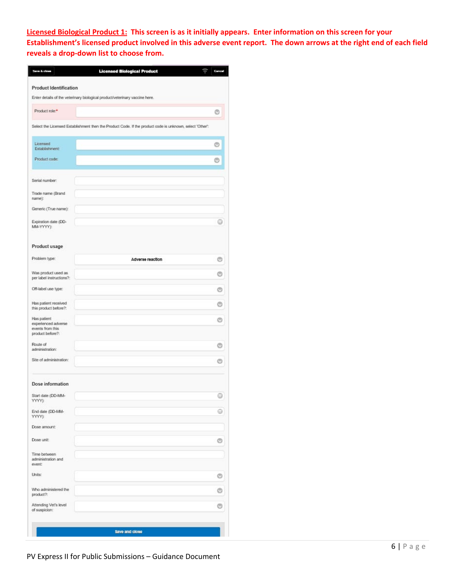**Licensed Biological Product 1: This screen is as it initially appears. Enter information on this screen for your Establishment's licensed product involved in this adverse event report. The down arrows at the right end of each field reveals a drop-down list to choose from.**

| <b>Product Identification</b>                                               |                                                                                                          |   |
|-----------------------------------------------------------------------------|----------------------------------------------------------------------------------------------------------|---|
| Enter details of the veterinary biological product/veterinary vaccine here. |                                                                                                          |   |
| Product role.*                                                              |                                                                                                          |   |
|                                                                             | Select the Licensed Establishment then the Product Code. If the product code is unknown, select "Other": |   |
|                                                                             |                                                                                                          |   |
| Licensed<br>Establishment:                                                  |                                                                                                          |   |
| Product code:                                                               |                                                                                                          |   |
| Serial number:                                                              |                                                                                                          |   |
| Trade name (Brand<br>name):                                                 |                                                                                                          |   |
| Generic (True name):                                                        |                                                                                                          |   |
| Expiration date (DD-<br>MM-YYYYY):                                          |                                                                                                          |   |
| Product usage                                                               |                                                                                                          |   |
| Problem type:                                                               | Adverse reaction                                                                                         | O |
| Was product used as<br>per label instructions?:                             |                                                                                                          |   |
| Off-label use type:                                                         |                                                                                                          | ◎ |
| Has patient received<br>this product before?:                               |                                                                                                          |   |
| Has patient<br>experienced adverse<br>events from this<br>product before?:  |                                                                                                          | O |
| Route of<br>administration:                                                 |                                                                                                          |   |
| Site of administration:                                                     |                                                                                                          |   |
| Dose information                                                            |                                                                                                          |   |
| Start date (DD-MM-<br>YYYY):                                                |                                                                                                          | 0 |
| End date (DD-MM-<br>YYYY):                                                  |                                                                                                          | ⊜ |
| Dose amount:                                                                |                                                                                                          |   |
| Dose unit:                                                                  |                                                                                                          | G |
| Time between<br>administration and<br>event:                                |                                                                                                          |   |
| Units:                                                                      |                                                                                                          | O |
| Who administered the<br>product?:                                           |                                                                                                          |   |
| Attending Vet's level<br>of suspicion:                                      |                                                                                                          |   |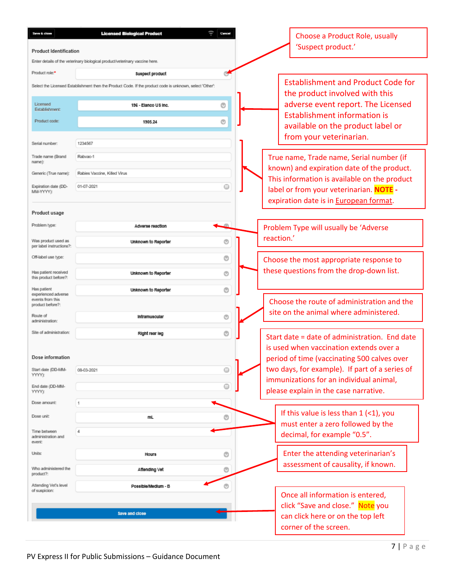| Save & clase<br><b>Product Identification</b>                              | <b>Licensed Biological Product</b>                                                                       |           | Choose a Product Role, usually<br>'Suspect product.'                                           |
|----------------------------------------------------------------------------|----------------------------------------------------------------------------------------------------------|-----------|------------------------------------------------------------------------------------------------|
|                                                                            | Enter details of the veterinary biological product/veterinary vaccine here.                              |           |                                                                                                |
| Product role:                                                              | Suspect product                                                                                          |           |                                                                                                |
|                                                                            | Select the Licensed Establishment then the Product Code. If the product code is unknown, select 'Other': |           | <b>Establishment and Product Code for</b><br>the product involved with this                    |
| Licensed<br>Establishment:                                                 | 196 - Elanco US Inc.                                                                                     | O         | adverse event report. The Licensed<br><b>Establishment information is</b>                      |
| Product code:                                                              | 1905.24                                                                                                  | O         | available on the product label or<br>from your veterinarian.                                   |
| Serial number:                                                             | 1234567                                                                                                  |           |                                                                                                |
| Trade name (Brand<br>name):                                                | Rabyac-1                                                                                                 |           | True name, Trade name, Serial number (if<br>known) and expiration date of the product.         |
| Generic (True name):                                                       | Rabies Vaccine, Killed Virus                                                                             |           | This information is available on the product                                                   |
| Expiration date (DD-<br>ΜΜ-ΥΥΥΥΥ):                                         | 01-07-2021                                                                                               | $\ominus$ | label or from your veterinarian. NOTE -<br>expiration date is in European format.              |
| Product usage                                                              |                                                                                                          |           |                                                                                                |
| Problem type:                                                              | Adverse reaction                                                                                         |           | Problem Type will usually be 'Adverse                                                          |
| Was product used as<br>per label instructions?:                            | Unknown to Reporter                                                                                      | ⊚         | reaction.'                                                                                     |
| Off-label use type:                                                        |                                                                                                          | O         | Choose the most appropriate response to                                                        |
| Has patient received<br>this product before?:                              | Unknown to Reporter                                                                                      | $\circ$   | these questions from the drop-down list.                                                       |
| Has patient<br>experienced adverse<br>events from this<br>product before?: | Unknown to Reporter                                                                                      | O         | Choose the route of administration and the                                                     |
| Route of<br>administration:                                                | Intramuscular                                                                                            | O         | site on the animal where administered.                                                         |
| Site of administration:                                                    | Right rear leg                                                                                           | O         | Start date = date of administration. End date                                                  |
|                                                                            |                                                                                                          |           | is used when vaccination extends over a                                                        |
| Dose information                                                           |                                                                                                          |           | period of time (vaccinating 500 calves over                                                    |
| Start date (DD-MM-<br>YYYY):                                               | 08-03-2021                                                                                               | $\odot$   | two days, for example). If part of a series of<br>immunizations for an individual animal,      |
| End date (DD-MM-<br>YYYY):                                                 |                                                                                                          | $\circ$   | please explain in the case narrative.                                                          |
| Dose amount:                                                               | 1                                                                                                        |           |                                                                                                |
| Dose unit:                                                                 | mL                                                                                                       | O         | If this value is less than $1$ (<1), you<br>must enter a zero followed by the                  |
| Time between<br>administration and<br>event:                               | 4                                                                                                        |           | decimal, for example "0.5".                                                                    |
| Units:                                                                     | <b>Hours</b>                                                                                             | O         | Enter the attending veterinarian's                                                             |
| Who administered the<br>product?:                                          | Attending Vet                                                                                            | O         | assessment of causality, if known.                                                             |
| Attending Vet's level<br>of suspicion:                                     | Possible/Medium - B                                                                                      | ⊚         | Once all information is entered,                                                               |
|                                                                            | Save and close                                                                                           |           | click "Save and close." Note you<br>can click here or on the top left<br>corner of the screen. |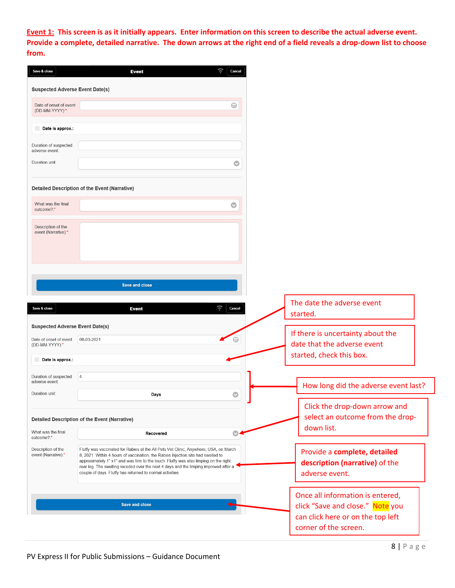**Event 1: This screen is as it initially appears. Enter information on this screen to describe the actual adverse event. Provide a complete, detailed narrative. The down arrows at the right end of a field reveals a drop-down list to choose from.**

| <b>Suspected Adverse Event Date(s)</b><br>$\qquad \qquad \textcircled{\scriptsize{1}}$                                                                                                                                                |                                                                                                                                                                                                                                           |
|---------------------------------------------------------------------------------------------------------------------------------------------------------------------------------------------------------------------------------------|-------------------------------------------------------------------------------------------------------------------------------------------------------------------------------------------------------------------------------------------|
|                                                                                                                                                                                                                                       |                                                                                                                                                                                                                                           |
|                                                                                                                                                                                                                                       |                                                                                                                                                                                                                                           |
|                                                                                                                                                                                                                                       |                                                                                                                                                                                                                                           |
|                                                                                                                                                                                                                                       |                                                                                                                                                                                                                                           |
|                                                                                                                                                                                                                                       | $\bullet$                                                                                                                                                                                                                                 |
| Detailed Description of the Event (Narrative)                                                                                                                                                                                         |                                                                                                                                                                                                                                           |
|                                                                                                                                                                                                                                       |                                                                                                                                                                                                                                           |
|                                                                                                                                                                                                                                       |                                                                                                                                                                                                                                           |
|                                                                                                                                                                                                                                       |                                                                                                                                                                                                                                           |
|                                                                                                                                                                                                                                       |                                                                                                                                                                                                                                           |
| <b>Save and close</b>                                                                                                                                                                                                                 |                                                                                                                                                                                                                                           |
| <b>Event</b>                                                                                                                                                                                                                          | The date the adverse event<br>Cancel<br>started.                                                                                                                                                                                          |
| <b>Suspected Adverse Event Date(s)</b><br>08-03-2021                                                                                                                                                                                  | If there is uncertainty about the<br>⋒                                                                                                                                                                                                    |
|                                                                                                                                                                                                                                       | date that the adverse event<br>started, check this box.                                                                                                                                                                                   |
| $\overline{4}$                                                                                                                                                                                                                        |                                                                                                                                                                                                                                           |
| Days                                                                                                                                                                                                                                  | How long did the adverse event last?<br>$\bullet$                                                                                                                                                                                         |
|                                                                                                                                                                                                                                       | Click the drop-down arrow and<br>select an outcome from the drop-                                                                                                                                                                         |
| Recovered                                                                                                                                                                                                                             | down list.<br>O                                                                                                                                                                                                                           |
| 8, 2021. Within 4 hours of vaccination, the Rabies injection site had swelled to<br>approximately 1" x1" and was firm to the touch. Fluffy was also limping on the right<br>couple of days. Fluffy has returned to normal activities. | Provide a complete, detailed<br>description (narrative) of the<br>adverse event.                                                                                                                                                          |
| <b>Save and close</b>                                                                                                                                                                                                                 | Once all information is entered,<br>click "Save and close." Note you<br>can click here or on the top left                                                                                                                                 |
|                                                                                                                                                                                                                                       | ⊙<br><b>Detailed Description of the Event (Narrative)</b><br>Fluffy was vaccinated for Rabies at the All Pets Vet Clinic, Anywhere, USA, on March<br>rear leg. The swelling receded over the next 4 days and the limping improved after a |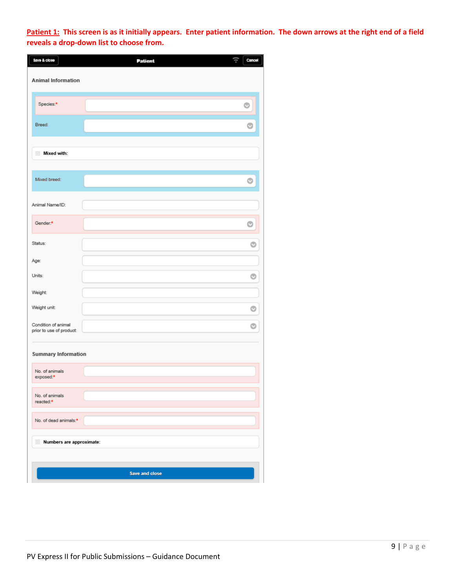**Patient 1: This screen is as it initially appears. Enter patient information. The down arrows at the right end of a field reveals a drop-down list to choose from.**

| Save & close                                    | ţŀ<br>Patient         | Cancel  |
|-------------------------------------------------|-----------------------|---------|
| <b>Animal Information</b>                       |                       |         |
| Species:*                                       |                       | $\circ$ |
| Breed:                                          |                       | O       |
| Mixed with:<br>n                                |                       |         |
| Mixed breed:                                    |                       | O       |
| Animal Name/ID:                                 |                       |         |
| Gender:*                                        |                       |         |
| Status:                                         |                       | O       |
| Age:                                            |                       |         |
| Units:                                          |                       | O       |
| Weight:                                         |                       |         |
| Weight unit:                                    |                       | O       |
| Condition of animal<br>prior to use of product: |                       | O       |
| <b>Summary Information</b>                      |                       |         |
| No. of animals<br>exposed:*                     |                       |         |
| No. of animals<br>reacted:*                     |                       |         |
| No. of dead animals:*                           |                       |         |
| Numbers are approximate:                        |                       |         |
|                                                 | <b>Save and close</b> |         |
|                                                 |                       |         |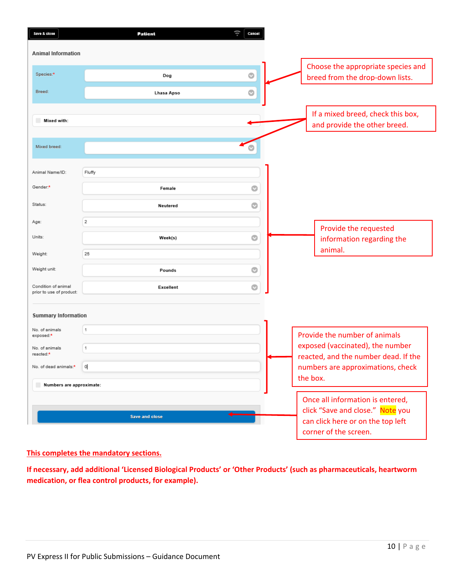| Save & close                                    | Patient               | ţt.<br>Cancel |
|-------------------------------------------------|-----------------------|---------------|
| <b>Animal Information</b>                       |                       |               |
| Species:*                                       | Dog                   | $\circ$       |
| Breed:                                          | Lhasa Apso            | $\odot$       |
| Mixed with:                                     |                       |               |
| Mixed breed:                                    |                       |               |
|                                                 |                       |               |
| Animal Name/ID:<br>Gender:*                     | Fluffy                |               |
| Status:                                         | Female                | O             |
|                                                 | Neutered<br>$\,2$     | Ø             |
| Age:<br>Units:                                  | Week(s)               | Ø             |
| Weight:                                         | 25                    |               |
| Weight unit:                                    | Pounds                | $\bullet$     |
| Condition of animal<br>prior to use of product: | Excellent             | $\circ$       |
|                                                 |                       |               |
| <b>Summary Information</b><br>No. of animals    | 1                     |               |
| exposed:*<br>No. of animals                     | 1                     |               |
| reacted:*<br>No. of dead animals:*              |                       |               |
| Numbers are approximate:                        | o                     |               |
|                                                 |                       |               |
|                                                 | <b>Save and close</b> |               |
|                                                 |                       |               |

### **This completes the mandatory sections.**

**If necessary, add additional 'Licensed Biological Products' or 'Other Products' (such as pharmaceuticals, heartworm medication, or flea control products, for example).**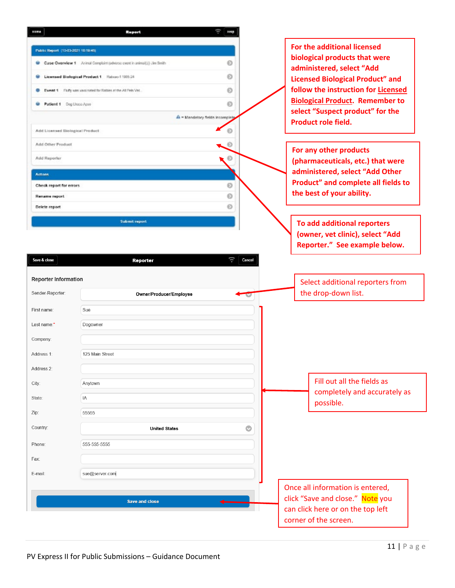| For the additional licensed<br>Public Report (10-03-2021 10:19:45)<br>biological products that were<br>ø<br>Case Overview 1 Animal Complaint (adverse exent in animal(s)) Jim Smith<br>administered, select "Add<br>ø<br>Licensed Biological Product 1 Rabuso-1 1995.24<br><b>Licensed Biological Product" and</b><br>ø<br>Event 1<br>Fluffy was vaccinated for Ratiles at the All Pels Vet.<br><b>Biological Product. Remember to</b><br>$\odot$<br>Patient 1 Dog Lisaso Apso-<br>select "Suspect product" for the<br>A = Mandetory fields incomplete<br><b>Product role field.</b><br>Ø<br>Add Licensed Biological Product<br>Add Other Product<br>O<br>For any other products<br>Add Reporter<br>O<br>(pharmaceuticals, etc.) that were<br>administered, select "Add Other<br>Actions<br>$\odot$<br>Check report for errors<br>the best of your ability.<br>Ō<br><b>Rename report</b><br>ø<br>Delete report<br><b>Submit report</b><br>To add additional reporters<br>(owner, vet clinic), select "Add<br>Reporter." See example below.<br>U.<br>Save & close<br>Cancel<br><b>Reporter</b><br><b>Reporter Information</b><br>Select additional reporters from<br>the drop-down list.<br>Owner/Producer/Employee<br>Sue<br>First name:<br>Last name:*<br>Dogowner<br>Company:<br>Address 1:<br>125 Main Street<br>Address 2:<br>Fill out all the fields as<br>Anytown<br>City:<br>completely and accurately as<br>IA<br>State:<br>possible.<br>55555<br>Zip:<br>Country:<br>O<br><b>United States</b><br>555-555-5555<br>Phone:<br>Fax:<br>sue@server.com<br>Once all information is entered,<br>click "Save and close." Note you<br><b>Save and close</b><br>can click here or on the top left | <b>Hard</b>      | Ruport | Ξ<br>HNIP |                                     |
|---------------------------------------------------------------------------------------------------------------------------------------------------------------------------------------------------------------------------------------------------------------------------------------------------------------------------------------------------------------------------------------------------------------------------------------------------------------------------------------------------------------------------------------------------------------------------------------------------------------------------------------------------------------------------------------------------------------------------------------------------------------------------------------------------------------------------------------------------------------------------------------------------------------------------------------------------------------------------------------------------------------------------------------------------------------------------------------------------------------------------------------------------------------------------------------------------------------------------------------------------------------------------------------------------------------------------------------------------------------------------------------------------------------------------------------------------------------------------------------------------------------------------------------------------------------------------------------------------------------------------------------------------------------------------------------------------|------------------|--------|-----------|-------------------------------------|
|                                                                                                                                                                                                                                                                                                                                                                                                                                                                                                                                                                                                                                                                                                                                                                                                                                                                                                                                                                                                                                                                                                                                                                                                                                                                                                                                                                                                                                                                                                                                                                                                                                                                                                   |                  |        |           |                                     |
|                                                                                                                                                                                                                                                                                                                                                                                                                                                                                                                                                                                                                                                                                                                                                                                                                                                                                                                                                                                                                                                                                                                                                                                                                                                                                                                                                                                                                                                                                                                                                                                                                                                                                                   |                  |        |           |                                     |
|                                                                                                                                                                                                                                                                                                                                                                                                                                                                                                                                                                                                                                                                                                                                                                                                                                                                                                                                                                                                                                                                                                                                                                                                                                                                                                                                                                                                                                                                                                                                                                                                                                                                                                   |                  |        |           |                                     |
|                                                                                                                                                                                                                                                                                                                                                                                                                                                                                                                                                                                                                                                                                                                                                                                                                                                                                                                                                                                                                                                                                                                                                                                                                                                                                                                                                                                                                                                                                                                                                                                                                                                                                                   |                  |        |           | follow the instruction for Licensed |
|                                                                                                                                                                                                                                                                                                                                                                                                                                                                                                                                                                                                                                                                                                                                                                                                                                                                                                                                                                                                                                                                                                                                                                                                                                                                                                                                                                                                                                                                                                                                                                                                                                                                                                   |                  |        |           |                                     |
|                                                                                                                                                                                                                                                                                                                                                                                                                                                                                                                                                                                                                                                                                                                                                                                                                                                                                                                                                                                                                                                                                                                                                                                                                                                                                                                                                                                                                                                                                                                                                                                                                                                                                                   |                  |        |           |                                     |
|                                                                                                                                                                                                                                                                                                                                                                                                                                                                                                                                                                                                                                                                                                                                                                                                                                                                                                                                                                                                                                                                                                                                                                                                                                                                                                                                                                                                                                                                                                                                                                                                                                                                                                   |                  |        |           |                                     |
|                                                                                                                                                                                                                                                                                                                                                                                                                                                                                                                                                                                                                                                                                                                                                                                                                                                                                                                                                                                                                                                                                                                                                                                                                                                                                                                                                                                                                                                                                                                                                                                                                                                                                                   |                  |        |           |                                     |
|                                                                                                                                                                                                                                                                                                                                                                                                                                                                                                                                                                                                                                                                                                                                                                                                                                                                                                                                                                                                                                                                                                                                                                                                                                                                                                                                                                                                                                                                                                                                                                                                                                                                                                   |                  |        |           |                                     |
|                                                                                                                                                                                                                                                                                                                                                                                                                                                                                                                                                                                                                                                                                                                                                                                                                                                                                                                                                                                                                                                                                                                                                                                                                                                                                                                                                                                                                                                                                                                                                                                                                                                                                                   |                  |        |           |                                     |
|                                                                                                                                                                                                                                                                                                                                                                                                                                                                                                                                                                                                                                                                                                                                                                                                                                                                                                                                                                                                                                                                                                                                                                                                                                                                                                                                                                                                                                                                                                                                                                                                                                                                                                   |                  |        |           | Product" and complete all fields to |
|                                                                                                                                                                                                                                                                                                                                                                                                                                                                                                                                                                                                                                                                                                                                                                                                                                                                                                                                                                                                                                                                                                                                                                                                                                                                                                                                                                                                                                                                                                                                                                                                                                                                                                   |                  |        |           |                                     |
|                                                                                                                                                                                                                                                                                                                                                                                                                                                                                                                                                                                                                                                                                                                                                                                                                                                                                                                                                                                                                                                                                                                                                                                                                                                                                                                                                                                                                                                                                                                                                                                                                                                                                                   |                  |        |           |                                     |
|                                                                                                                                                                                                                                                                                                                                                                                                                                                                                                                                                                                                                                                                                                                                                                                                                                                                                                                                                                                                                                                                                                                                                                                                                                                                                                                                                                                                                                                                                                                                                                                                                                                                                                   |                  |        |           |                                     |
|                                                                                                                                                                                                                                                                                                                                                                                                                                                                                                                                                                                                                                                                                                                                                                                                                                                                                                                                                                                                                                                                                                                                                                                                                                                                                                                                                                                                                                                                                                                                                                                                                                                                                                   |                  |        |           |                                     |
|                                                                                                                                                                                                                                                                                                                                                                                                                                                                                                                                                                                                                                                                                                                                                                                                                                                                                                                                                                                                                                                                                                                                                                                                                                                                                                                                                                                                                                                                                                                                                                                                                                                                                                   |                  |        |           |                                     |
|                                                                                                                                                                                                                                                                                                                                                                                                                                                                                                                                                                                                                                                                                                                                                                                                                                                                                                                                                                                                                                                                                                                                                                                                                                                                                                                                                                                                                                                                                                                                                                                                                                                                                                   | Sender-Reporter: |        |           |                                     |
|                                                                                                                                                                                                                                                                                                                                                                                                                                                                                                                                                                                                                                                                                                                                                                                                                                                                                                                                                                                                                                                                                                                                                                                                                                                                                                                                                                                                                                                                                                                                                                                                                                                                                                   |                  |        |           |                                     |
|                                                                                                                                                                                                                                                                                                                                                                                                                                                                                                                                                                                                                                                                                                                                                                                                                                                                                                                                                                                                                                                                                                                                                                                                                                                                                                                                                                                                                                                                                                                                                                                                                                                                                                   |                  |        |           |                                     |
|                                                                                                                                                                                                                                                                                                                                                                                                                                                                                                                                                                                                                                                                                                                                                                                                                                                                                                                                                                                                                                                                                                                                                                                                                                                                                                                                                                                                                                                                                                                                                                                                                                                                                                   |                  |        |           |                                     |
|                                                                                                                                                                                                                                                                                                                                                                                                                                                                                                                                                                                                                                                                                                                                                                                                                                                                                                                                                                                                                                                                                                                                                                                                                                                                                                                                                                                                                                                                                                                                                                                                                                                                                                   |                  |        |           |                                     |
|                                                                                                                                                                                                                                                                                                                                                                                                                                                                                                                                                                                                                                                                                                                                                                                                                                                                                                                                                                                                                                                                                                                                                                                                                                                                                                                                                                                                                                                                                                                                                                                                                                                                                                   |                  |        |           |                                     |
|                                                                                                                                                                                                                                                                                                                                                                                                                                                                                                                                                                                                                                                                                                                                                                                                                                                                                                                                                                                                                                                                                                                                                                                                                                                                                                                                                                                                                                                                                                                                                                                                                                                                                                   |                  |        |           |                                     |
|                                                                                                                                                                                                                                                                                                                                                                                                                                                                                                                                                                                                                                                                                                                                                                                                                                                                                                                                                                                                                                                                                                                                                                                                                                                                                                                                                                                                                                                                                                                                                                                                                                                                                                   |                  |        |           |                                     |
|                                                                                                                                                                                                                                                                                                                                                                                                                                                                                                                                                                                                                                                                                                                                                                                                                                                                                                                                                                                                                                                                                                                                                                                                                                                                                                                                                                                                                                                                                                                                                                                                                                                                                                   |                  |        |           |                                     |
|                                                                                                                                                                                                                                                                                                                                                                                                                                                                                                                                                                                                                                                                                                                                                                                                                                                                                                                                                                                                                                                                                                                                                                                                                                                                                                                                                                                                                                                                                                                                                                                                                                                                                                   |                  |        |           |                                     |
|                                                                                                                                                                                                                                                                                                                                                                                                                                                                                                                                                                                                                                                                                                                                                                                                                                                                                                                                                                                                                                                                                                                                                                                                                                                                                                                                                                                                                                                                                                                                                                                                                                                                                                   |                  |        |           |                                     |
|                                                                                                                                                                                                                                                                                                                                                                                                                                                                                                                                                                                                                                                                                                                                                                                                                                                                                                                                                                                                                                                                                                                                                                                                                                                                                                                                                                                                                                                                                                                                                                                                                                                                                                   |                  |        |           |                                     |
|                                                                                                                                                                                                                                                                                                                                                                                                                                                                                                                                                                                                                                                                                                                                                                                                                                                                                                                                                                                                                                                                                                                                                                                                                                                                                                                                                                                                                                                                                                                                                                                                                                                                                                   |                  |        |           |                                     |
|                                                                                                                                                                                                                                                                                                                                                                                                                                                                                                                                                                                                                                                                                                                                                                                                                                                                                                                                                                                                                                                                                                                                                                                                                                                                                                                                                                                                                                                                                                                                                                                                                                                                                                   | E-mail:          |        |           |                                     |
|                                                                                                                                                                                                                                                                                                                                                                                                                                                                                                                                                                                                                                                                                                                                                                                                                                                                                                                                                                                                                                                                                                                                                                                                                                                                                                                                                                                                                                                                                                                                                                                                                                                                                                   |                  |        |           |                                     |
|                                                                                                                                                                                                                                                                                                                                                                                                                                                                                                                                                                                                                                                                                                                                                                                                                                                                                                                                                                                                                                                                                                                                                                                                                                                                                                                                                                                                                                                                                                                                                                                                                                                                                                   |                  |        |           |                                     |
|                                                                                                                                                                                                                                                                                                                                                                                                                                                                                                                                                                                                                                                                                                                                                                                                                                                                                                                                                                                                                                                                                                                                                                                                                                                                                                                                                                                                                                                                                                                                                                                                                                                                                                   |                  |        |           |                                     |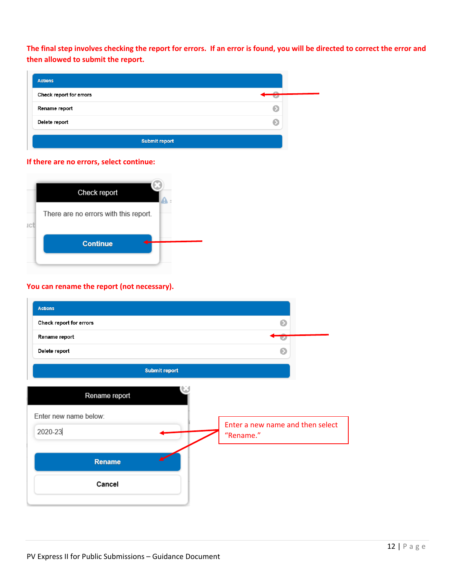**The final step involves checking the report for errors. If an error is found, you will be directed to correct the error and then allowed to submit the report.**

| <b>Actions</b>          |  |
|-------------------------|--|
| Check report for errors |  |
| Rename report           |  |
| Delete report           |  |
| <b>Submit report</b>    |  |

#### **If there are no errors, select continue:**



### **You can rename the report (not necessary).**

| <b>Actions</b>          |                                  |
|-------------------------|----------------------------------|
| Check report for errors | െ                                |
| Rename report           | $\overline{\mathbf{z}}$          |
| Delete report           | Ω                                |
| Submit report           |                                  |
| Rename report           |                                  |
| Enter new name below:   | Enter a new name and then select |
| 2020-23                 | "Rename."                        |
| Rename                  |                                  |
| Cancel                  |                                  |
|                         |                                  |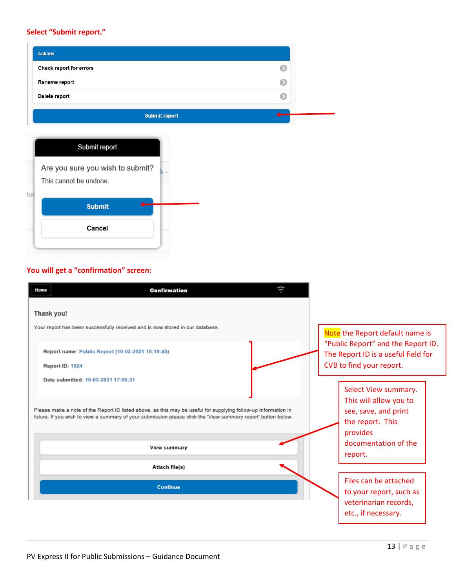## **Select "Submit report."**

| <b>Actions</b>          |  |
|-------------------------|--|
| Check report for errors |  |
| Rename report           |  |
| Delete report           |  |
| <b>Submit report</b>    |  |

| Submit report                                              |
|------------------------------------------------------------|
| Are you sure you wish to submit?<br>This cannot be undone. |
| <b>Submit</b>                                              |
| Cancel                                                     |

## **You will get a "confirmation" screen:**

| Confirmation<br>Home                                                                                                                                                                                                                                                                   |                                                                                                                                           |
|----------------------------------------------------------------------------------------------------------------------------------------------------------------------------------------------------------------------------------------------------------------------------------------|-------------------------------------------------------------------------------------------------------------------------------------------|
| Thank you!                                                                                                                                                                                                                                                                             |                                                                                                                                           |
| Your report has been successfully received and is now stored in our database.                                                                                                                                                                                                          | Note the Report default name is                                                                                                           |
| Report name: Public Report (10-03-2021 10:19:45)                                                                                                                                                                                                                                       | "Public Report" and the Report ID.<br>The Report ID is a useful field for                                                                 |
| Report ID: 1024                                                                                                                                                                                                                                                                        | CVB to find your report.                                                                                                                  |
| Date submitted: 10-03-2021 17:05:31<br>Please make a note of the Report ID listed above, as this may be useful for supplying follow-up information in<br>future. If you wish to view a summary of your submission please click the 'View summary report' button below.<br>View summary | Select View summary.<br>This will allow you to<br>see, save, and print<br>the report. This<br>provides<br>documentation of the<br>report. |
| Attach file(s)                                                                                                                                                                                                                                                                         |                                                                                                                                           |
| Continue                                                                                                                                                                                                                                                                               | Files can be attached<br>to your report, such as<br>veterinarian records,<br>etc., if necessary.                                          |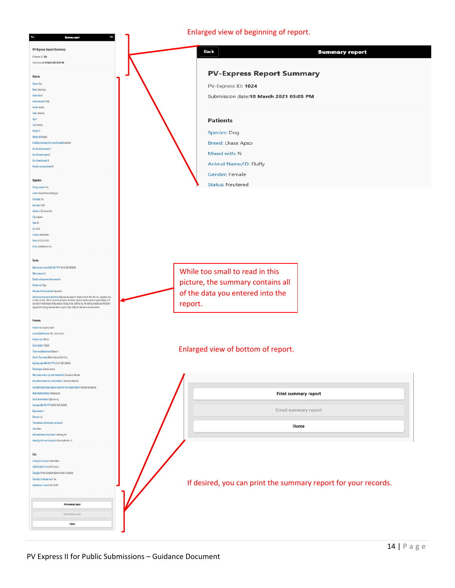